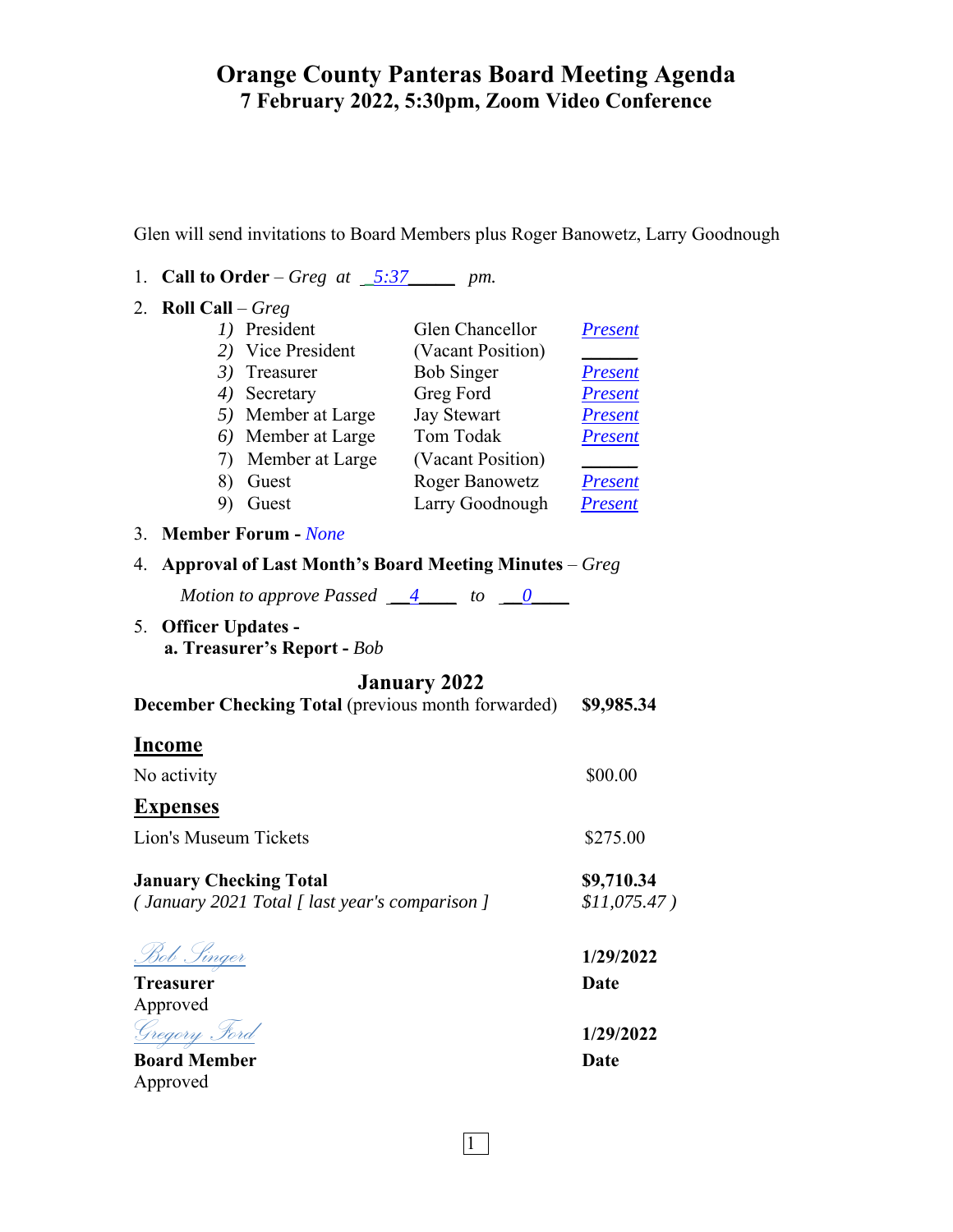Glen will send invitations to Board Members plus Roger Banowetz, Larry Goodnough

1. **Call to Order** – *Greg at \_5:37\_\_\_\_\_ pm.* 

| 2. Roll Call $-$ Greg                                                           |                                                             |                                 |                              |
|---------------------------------------------------------------------------------|-------------------------------------------------------------|---------------------------------|------------------------------|
|                                                                                 | 1) President                                                | Glen Chancellor                 | <b>Present</b>               |
|                                                                                 | 2) Vice President                                           | (Vacant Position)               |                              |
|                                                                                 | 3) Treasurer                                                | <b>Bob Singer</b>               | <b>Present</b>               |
|                                                                                 | 4) Secretary                                                | Greg Ford                       | <b>Present</b>               |
|                                                                                 | 5) Member at Large                                          | <b>Jay Stewart</b><br>Tom Todak | <u>Present</u>               |
|                                                                                 | 6) Member at Large<br>7) Member at Large                    | (Vacant Position)               | <u>Present</u>               |
|                                                                                 | 8)<br>Guest                                                 | <b>Roger Banowetz</b>           | <b>Present</b>               |
|                                                                                 | 9) Guest                                                    | Larry Goodnough                 | <b>Present</b>               |
| 3.                                                                              | <b>Member Forum - None</b>                                  |                                 |                              |
| Approval of Last Month's Board Meeting Minutes - Greg<br>4.                     |                                                             |                                 |                              |
|                                                                                 | Motion to approve Passed $\underline{4}$ to $\underline{0}$ |                                 |                              |
| 5.<br><b>Officer Updates -</b><br>a. Treasurer's Report - Bob                   |                                                             |                                 |                              |
| <b>January 2022</b>                                                             |                                                             |                                 |                              |
| <b>December Checking Total (previous month forwarded)</b>                       |                                                             |                                 | \$9,985.34                   |
| <b>Income</b>                                                                   |                                                             |                                 |                              |
| No activity                                                                     |                                                             |                                 | \$00.00                      |
| <b>Expenses</b>                                                                 |                                                             |                                 |                              |
| <b>Lion's Museum Tickets</b>                                                    |                                                             |                                 | \$275.00                     |
| <b>January Checking Total</b><br>(January 2021 Total [ last year's comparison ] |                                                             |                                 | \$9,710.34<br>$$11,075.47$ ) |
| <u>Bob Singer</u>                                                               |                                                             |                                 | 1/29/2022                    |
| <b>Treasurer</b>                                                                |                                                             |                                 | <b>Date</b>                  |
| Approved                                                                        |                                                             |                                 |                              |
| <u>Gregory Ford</u>                                                             |                                                             |                                 | 1/29/2022                    |
| <b>Board Member</b>                                                             |                                                             |                                 | <b>Date</b>                  |
| Approved                                                                        |                                                             |                                 |                              |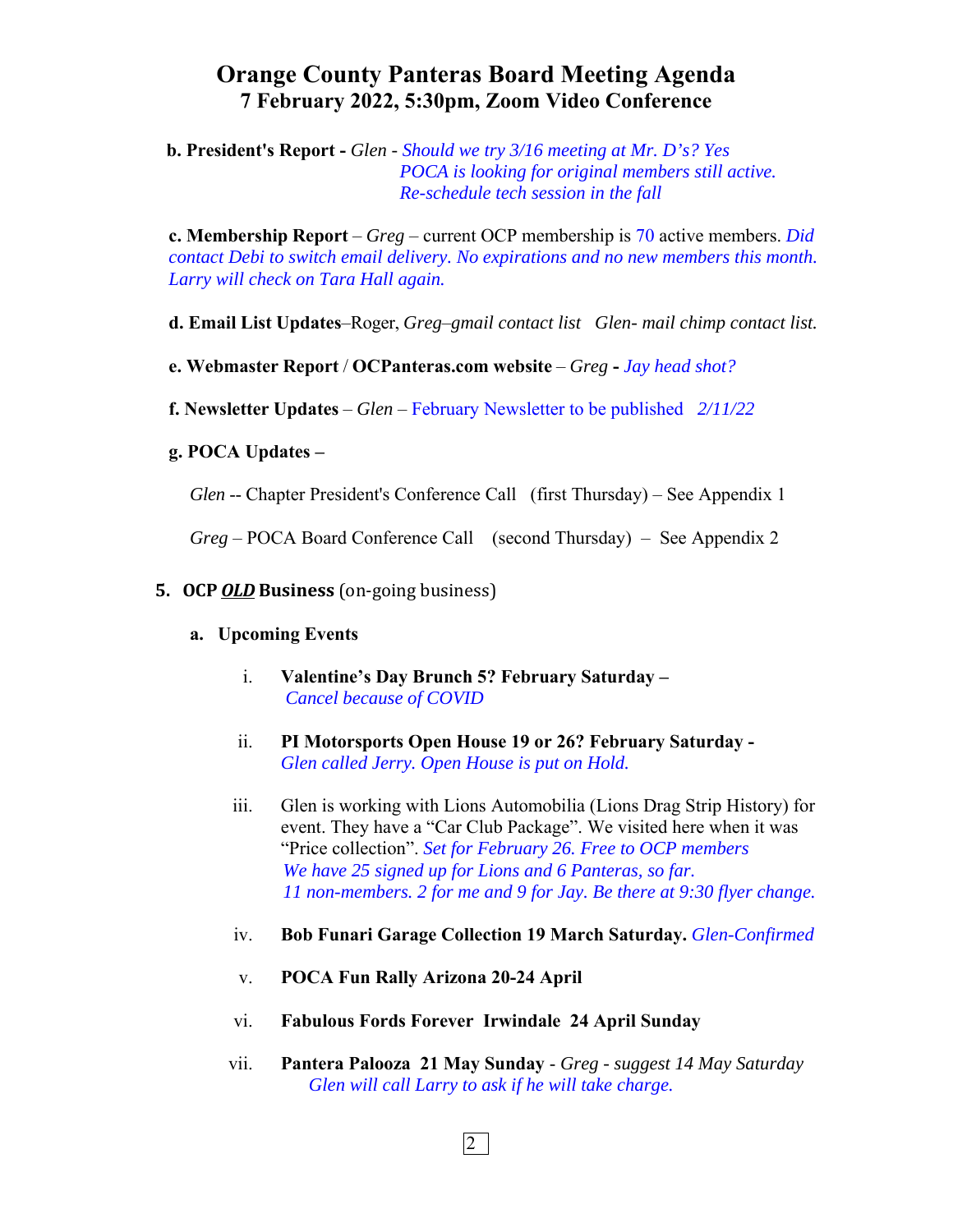**b. President's Report -** *Glen - Should we try 3/16 meeting at Mr. D's? Yes POCA is looking for original members still active. Re-schedule tech session in the fall* 

**c. Membership Report** – *Greg* – current OCP membership is 70 active members. *Did contact Debi to switch email delivery. No expirations and no new members this month. Larry will check on Tara Hall again.*

**d. Email List Updates**–Roger, *Greg*–*gmail contact list Glen- mail chimp contact list.* 

**e. Webmaster Report** / **OCPanteras.com website** – *Greg* **-** *Jay head shot?* 

**f. Newsletter Updates** – *Glen* – February Newsletter to be published*2/11/22* 

## **g. POCA Updates –**

*Glen* -- Chapter President's Conference Call (first Thursday) – See Appendix 1

*Greg* – POCA Board Conference Call (second Thursday) – See Appendix 2

## **5. OCP** *OLD* **Business** (on-going business)

### **a. Upcoming Events**

- i. **Valentine's Day Brunch 5? February Saturday**  *Cancel because of COVID*
- ii. **PI Motorsports Open House 19 or 26? February Saturday** *Glen called Jerry. Open House is put on Hold.*
- iii. Glen is working with Lions Automobilia (Lions Drag Strip History) for event. They have a "Car Club Package". We visited here when it was "Price collection". *Set for February 26. Free to OCP members We have 25 signed up for Lions and 6 Panteras, so far. 11 non-members. 2 for me and 9 for Jay. Be there at 9:30 flyer change.*
- iv. **Bob Funari Garage Collection 19 March Saturday.** *Glen-Confirmed*
- v. **POCA Fun Rally Arizona 20-24 April**
- vi. **Fabulous Fords Forever Irwindale 24 April Sunday**
- vii. **Pantera Palooza 21 May Sunday** *Greg suggest 14 May Saturday Glen will call Larry to ask if he will take charge.*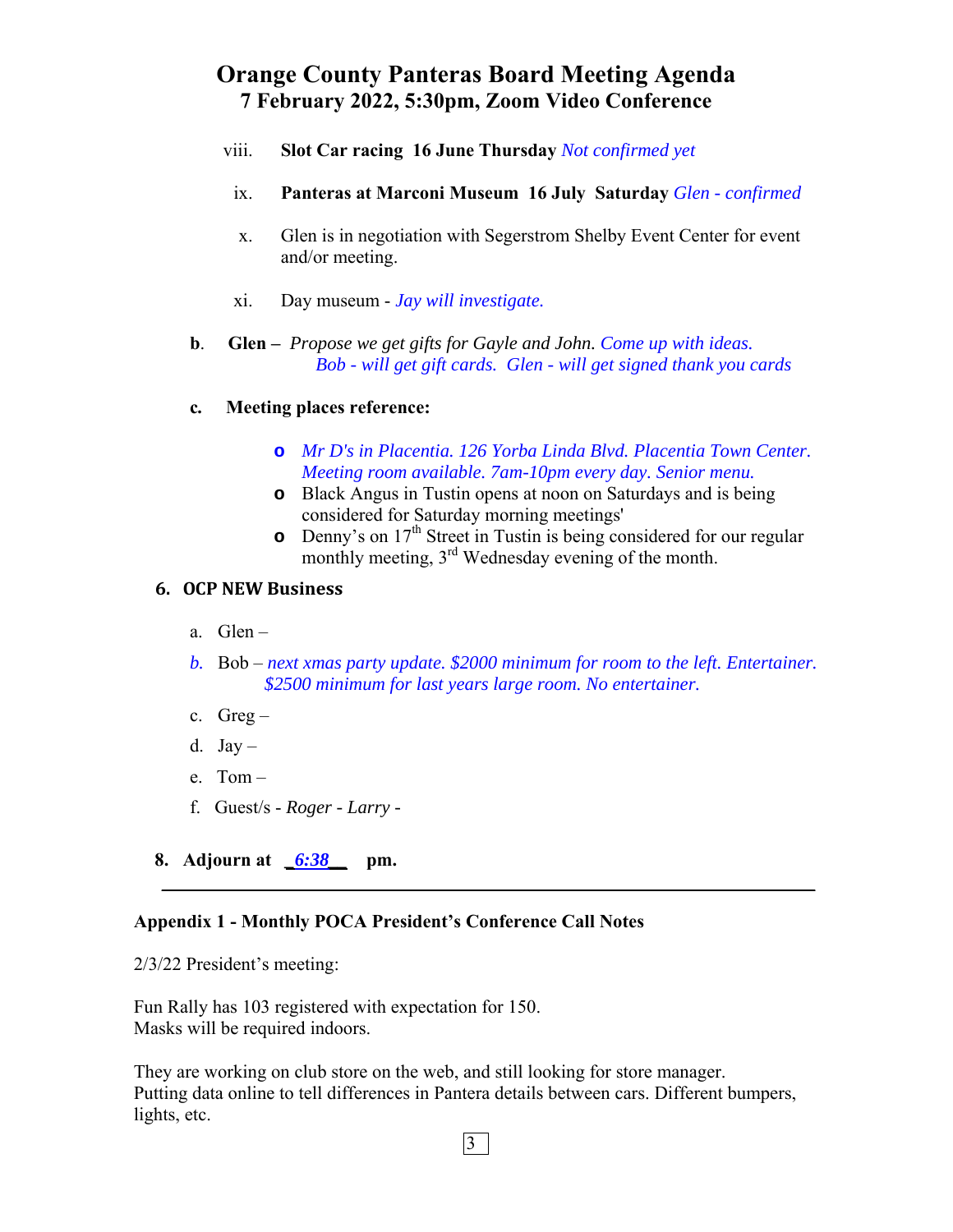- viii. **Slot Car racing 16 June Thursday** *Not confirmed yet*
- ix. **Panteras at Marconi Museum 16 July Saturday** *Glen confirmed*
- x. Glen is in negotiation with Segerstrom Shelby Event Center for event and/or meeting.
- xi. Day museum *Jay will investigate.*
- **b**. **Glen** *Propose we get gifts for Gayle and John. Come up with ideas. Bob - will get gift cards. Glen - will get signed thank you cards*
- **c***.* **Meeting places reference:** 
	- **o** *Mr D's in Placentia. 126 Yorba Linda Blvd. Placentia Town Center. Meeting room available. 7am-10pm every day. Senior menu.*
	- **o** Black Angus in Tustin opens at noon on Saturdays and is being considered for Saturday morning meetings'
	- **o** Denny's on 17<sup>th</sup> Street in Tustin is being considered for our regular monthly meeting, 3<sup>rd</sup> Wednesday evening of the month.

# **6. OCP NEW Business**

- a. Glen –
- *b.* Bob *next xmas party update. \$2000 minimum for room to the left. Entertainer. \$2500 minimum for last years large room. No entertainer.*

 $\mathcal{L}_\mathcal{L} = \mathcal{L}_\mathcal{L} = \mathcal{L}_\mathcal{L} = \mathcal{L}_\mathcal{L} = \mathcal{L}_\mathcal{L} = \mathcal{L}_\mathcal{L} = \mathcal{L}_\mathcal{L} = \mathcal{L}_\mathcal{L} = \mathcal{L}_\mathcal{L} = \mathcal{L}_\mathcal{L} = \mathcal{L}_\mathcal{L} = \mathcal{L}_\mathcal{L} = \mathcal{L}_\mathcal{L} = \mathcal{L}_\mathcal{L} = \mathcal{L}_\mathcal{L} = \mathcal{L}_\mathcal{L} = \mathcal{L}_\mathcal{L}$ 

- c.  $Greg -$
- d.  $Jay -$
- e. Tom –
- f. Guest/s - *Roger Larry -*
- **8. Adjourn at** *\_6:38\_\_* **pm.**

## **Appendix 1 - Monthly POCA President's Conference Call Notes**

2/3/22 President's meeting:

Fun Rally has 103 registered with expectation for 150. Masks will be required indoors.

They are working on club store on the web, and still looking for store manager. Putting data online to tell differences in Pantera details between cars. Different bumpers, lights, etc.

 $|3|$